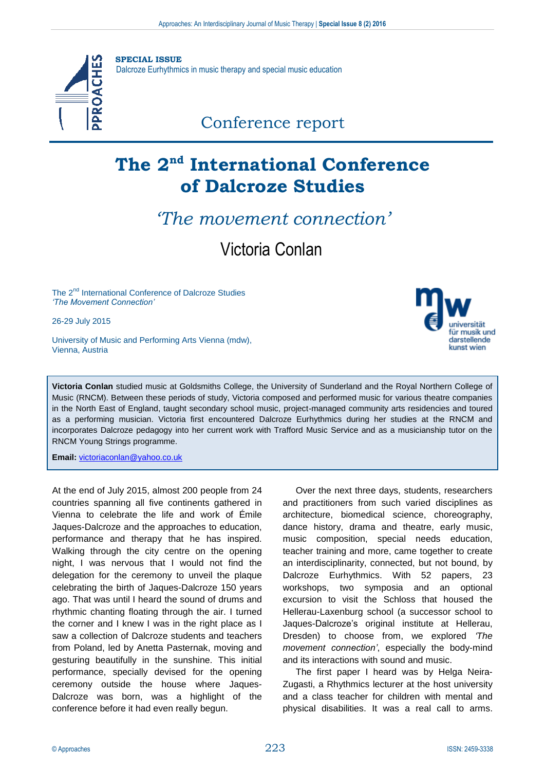

## **The 2nd International Conference of Dalcroze Studies**

## *'The movement connection'*

Victoria Conlan

The 2<sup>nd</sup> International Conference of Dalcroze Studies *'The Movement Connection'*

26-29 July 2015

University of Music and Performing Arts Vienna (mdw), Vienna, Austria



**Victoria Conlan** studied music at Goldsmiths College, the University of Sunderland and the Royal Northern College of Music (RNCM). Between these periods of study, Victoria composed and performed music for various theatre companies in the North East of England, taught secondary school music, project-managed community arts residencies and toured as a performing musician. Victoria first encountered Dalcroze Eurhythmics during her studies at the RNCM and incorporates Dalcroze pedagogy into her current work with Trafford Music Service and as a musicianship tutor on the RNCM Young Strings programme.

**Email:** [victoriaconlan@yahoo.co.uk](mailto:victoriaconlan@yahoo.co.uk)

At the end of July 2015, almost 200 people from 24 countries spanning all five continents gathered in Vienna to celebrate the life and work of Émile Jaques-Dalcroze and the approaches to education, performance and therapy that he has inspired. Walking through the city centre on the opening night, I was nervous that I would not find the delegation for the ceremony to unveil the plaque celebrating the birth of Jaques-Dalcroze 150 years ago. That was until I heard the sound of drums and rhythmic chanting floating through the air. I turned the corner and I knew I was in the right place as I saw a collection of Dalcroze students and teachers from Poland, led by Anetta Pasternak, moving and gesturing beautifully in the sunshine. This initial performance, specially devised for the opening ceremony outside the house where Jaques-Dalcroze was born, was a highlight of the conference before it had even really begun.

Over the next three days, students, researchers and practitioners from such varied disciplines as architecture, biomedical science, choreography, dance history, drama and theatre, early music, music composition, special needs education, teacher training and more, came together to create an interdisciplinarity, connected, but not bound, by Dalcroze Eurhythmics. With 52 papers, 23 workshops, two symposia and an optional excursion to visit the Schloss that housed the Hellerau-Laxenburg school (a successor school to Jaques-Dalcroze's original institute at Hellerau, Dresden) to choose from, we explored *'The movement connection'*, especially the body-mind and its interactions with sound and music.

The first paper I heard was by Helga Neira-Zugasti, a Rhythmics lecturer at the host university and a class teacher for children with mental and physical disabilities. It was a real call to arms.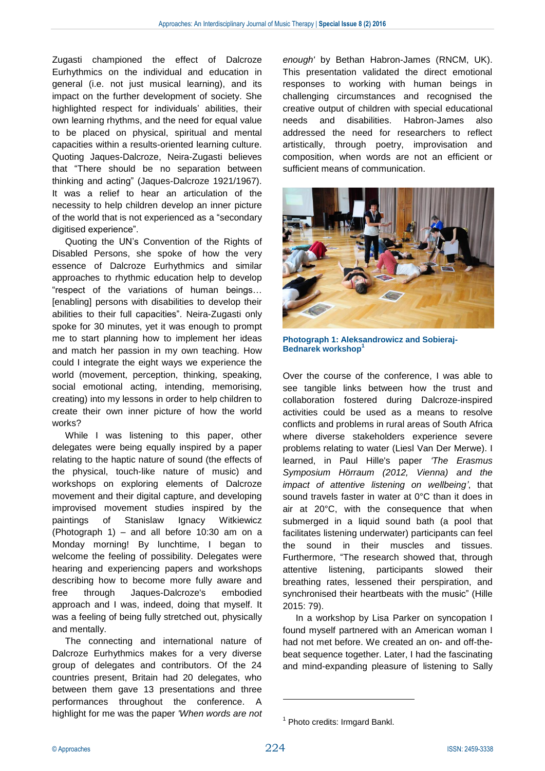Zugasti championed the effect of Dalcroze Eurhythmics on the individual and education in general (i.e. not just musical learning), and its impact on the further development of society. She highlighted respect for individuals' abilities, their own learning rhythms, and the need for equal value to be placed on physical, spiritual and mental capacities within a results-oriented learning culture. Quoting Jaques-Dalcroze, Neira-Zugasti believes that "There should be no separation between thinking and acting" (Jaques-Dalcroze 1921/1967). It was a relief to hear an articulation of the necessity to help children develop an inner picture of the world that is not experienced as a "secondary digitised experience".

Quoting the UN's Convention of the Rights of Disabled Persons, she spoke of how the very essence of Dalcroze Eurhythmics and similar approaches to rhythmic education help to develop "respect of the variations of human beings… [enabling] persons with disabilities to develop their abilities to their full capacities". Neira-Zugasti only spoke for 30 minutes, yet it was enough to prompt me to start planning how to implement her ideas and match her passion in my own teaching. How could I integrate the eight ways we experience the world (movement, perception, thinking, speaking, social emotional acting, intending, memorising, creating) into my lessons in order to help children to create their own inner picture of how the world works?

While I was listening to this paper, other delegates were being equally inspired by a paper relating to the haptic nature of sound (the effects of the physical, touch-like nature of music) and workshops on exploring elements of Dalcroze movement and their digital capture, and developing improvised movement studies inspired by the paintings of Stanislaw Ignacy Witkiewicz (Photograph 1) – and all before 10:30 am on a Monday morning! By lunchtime, I began to welcome the feeling of possibility. Delegates were hearing and experiencing papers and workshops describing how to become more fully aware and free through Jaques-Dalcroze's embodied approach and I was, indeed, doing that myself. It was a feeling of being fully stretched out, physically and mentally.

The connecting and international nature of Dalcroze Eurhythmics makes for a very diverse group of delegates and contributors. Of the 24 countries present, Britain had 20 delegates, who between them gave 13 presentations and three performances throughout the conference. A highlight for me was the paper *'When words are not* 

*enough'* by Bethan Habron-James (RNCM, UK). This presentation validated the direct emotional responses to working with human beings in challenging circumstances and recognised the creative output of children with special educational needs and disabilities. Habron-James also addressed the need for researchers to reflect artistically, through poetry, improvisation and composition, when words are not an efficient or sufficient means of communication.



**Photograph 1: Aleksandrowicz and Sobieraj-Bednarek workshop<sup>1</sup>**

Over the course of the conference, I was able to see tangible links between how the trust and collaboration fostered during Dalcroze-inspired activities could be used as a means to resolve conflicts and problems in rural areas of South Africa where diverse stakeholders experience severe problems relating to water (Liesl Van Der Merwe). I learned, in Paul Hille's paper *'The Erasmus Symposium Hörraum (2012, Vienna) and the impact of attentive listening on wellbeing'*, that sound travels faster in water at 0°C than it does in air at 20°C, with the consequence that when submerged in a liquid sound bath (a pool that facilitates listening underwater) participants can feel the sound in their muscles and tissues. Furthermore, "The research showed that, through attentive listening, participants slowed their breathing rates, lessened their perspiration, and synchronised their heartbeats with the music" (Hille 2015: 79).

In a workshop by Lisa Parker on syncopation I found myself partnered with an American woman I had not met before. We created an on- and off-thebeat sequence together. Later, I had the fascinating and mind-expanding pleasure of listening to Sally

1

<sup>&</sup>lt;sup>1</sup> Photo credits: Irmgard Bankl.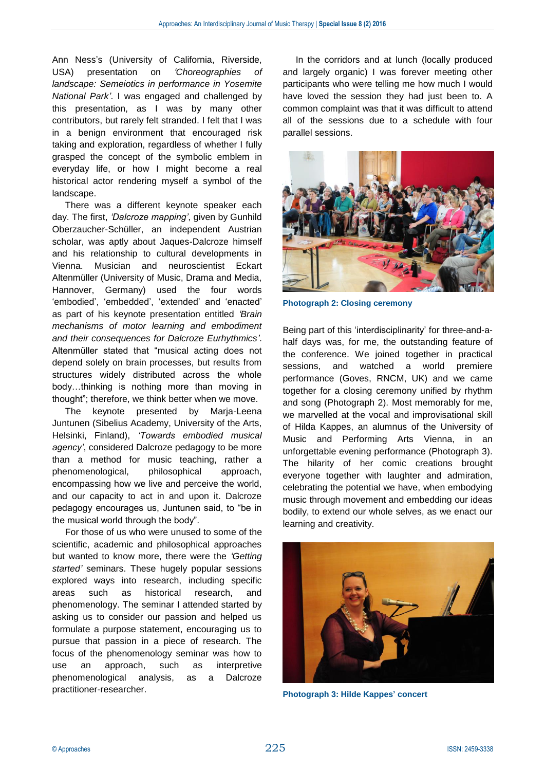Ann Ness's (University of California, Riverside, USA) presentation on *'Choreographies of landscape: Semeiotics in performance in Yosemite National Park'*. I was engaged and challenged by this presentation, as I was by many other contributors, but rarely felt stranded. I felt that I was in a benign environment that encouraged risk taking and exploration, regardless of whether I fully grasped the concept of the symbolic emblem in everyday life, or how I might become a real historical actor rendering myself a symbol of the landscape.

There was a different keynote speaker each day. The first, *'Dalcroze mapping'*, given by Gunhild Oberzaucher-Schüller, an independent Austrian scholar, was aptly about Jaques-Dalcroze himself and his relationship to cultural developments in Vienna. Musician and neuroscientist Eckart Altenmüller (University of Music, Drama and Media, Hannover, Germany) used the four words 'embodied', 'embedded', 'extended' and 'enacted' as part of his keynote presentation entitled *'Brain mechanisms of motor learning and embodiment and their consequences for Dalcroze Eurhythmics'*. Altenmüller stated that "musical acting does not depend solely on brain processes, but results from structures widely distributed across the whole body…thinking is nothing more than moving in thought"; therefore, we think better when we move.

The keynote presented by Marja-Leena Juntunen (Sibelius Academy, University of the Arts, Helsinki, Finland), *'Towards embodied musical agency'*, considered Dalcroze pedagogy to be more than a method for music teaching, rather a phenomenological, philosophical approach, encompassing how we live and perceive the world, and our capacity to act in and upon it. Dalcroze pedagogy encourages us, Juntunen said, to "be in the musical world through the body".

For those of us who were unused to some of the scientific, academic and philosophical approaches but wanted to know more, there were the *'Getting started'* seminars. These hugely popular sessions explored ways into research, including specific areas such as historical research, and phenomenology. The seminar I attended started by asking us to consider our passion and helped us formulate a purpose statement, encouraging us to pursue that passion in a piece of research. The focus of the phenomenology seminar was how to use an approach, such as interpretive phenomenological analysis, as a Dalcroze practitioner-researcher.

In the corridors and at lunch (locally produced and largely organic) I was forever meeting other participants who were telling me how much I would have loved the session they had just been to. A common complaint was that it was difficult to attend all of the sessions due to a schedule with four parallel sessions.



**Photograph 2: Closing ceremony**

Being part of this 'interdisciplinarity' for three-and-ahalf days was, for me, the outstanding feature of the conference. We joined together in practical sessions, and watched a world premiere performance (Goves, RNCM, UK) and we came together for a closing ceremony unified by rhythm and song (Photograph 2). Most memorably for me, we marvelled at the vocal and improvisational skill of Hilda Kappes, an alumnus of the University of Music and Performing Arts Vienna, in an unforgettable evening performance (Photograph 3). The hilarity of her comic creations brought everyone together with laughter and admiration, celebrating the potential we have, when embodying music through movement and embedding our ideas bodily, to extend our whole selves, as we enact our learning and creativity.



**Photograph 3: Hilde Kappes' concert**